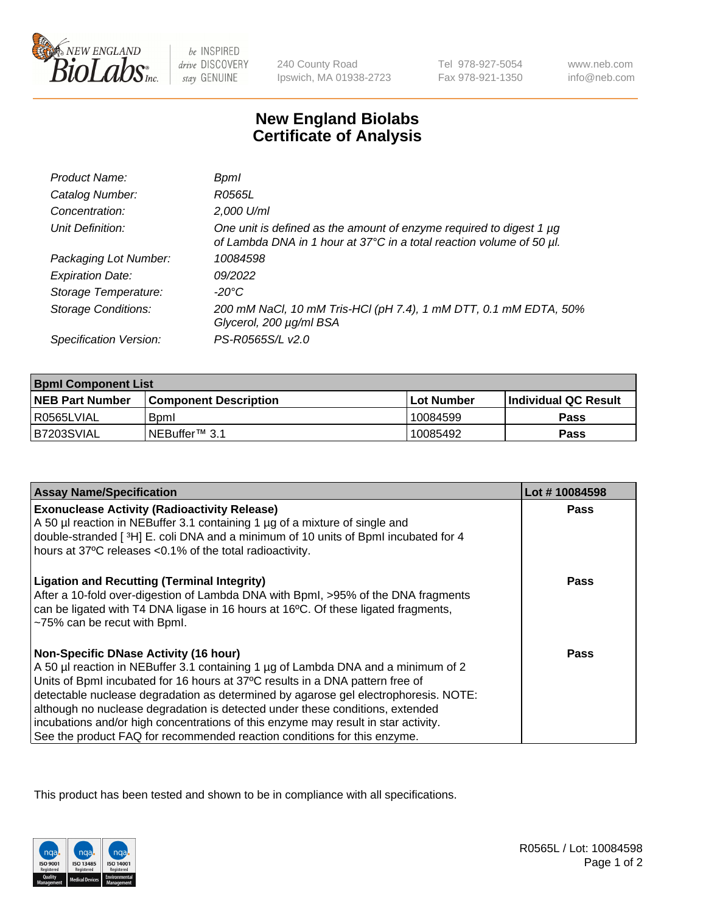

be INSPIRED drive DISCOVERY stay GENUINE

240 County Road Ipswich, MA 01938-2723 Tel 978-927-5054 Fax 978-921-1350

www.neb.com info@neb.com

## **New England Biolabs Certificate of Analysis**

| Product Name:              | Bpml                                                                                                                                             |
|----------------------------|--------------------------------------------------------------------------------------------------------------------------------------------------|
| Catalog Number:            | R0565L                                                                                                                                           |
| Concentration:             | 2,000 U/ml                                                                                                                                       |
| Unit Definition:           | One unit is defined as the amount of enzyme required to digest 1 $\mu$ g<br>of Lambda DNA in 1 hour at 37°C in a total reaction volume of 50 µl. |
| Packaging Lot Number:      | 10084598                                                                                                                                         |
| <b>Expiration Date:</b>    | 09/2022                                                                                                                                          |
| Storage Temperature:       | -20°C                                                                                                                                            |
| <b>Storage Conditions:</b> | 200 mM NaCl, 10 mM Tris-HCl (pH 7.4), 1 mM DTT, 0.1 mM EDTA, 50%<br>Glycerol, 200 µg/ml BSA                                                      |
| Specification Version:     | PS-R0565S/L v2.0                                                                                                                                 |

| <b>Bpml Component List</b> |                              |              |                             |  |
|----------------------------|------------------------------|--------------|-----------------------------|--|
| <b>NEB Part Number</b>     | <b>Component Description</b> | l Lot Number | <b>Individual QC Result</b> |  |
| l R0565LVIAL               | <b>B</b> <sub>pm</sub>       | 10084599     | Pass                        |  |
| B7203SVIAL                 | INEBuffer <sup>™</sup> 3.1   | 10085492     | Pass                        |  |

| <b>Assay Name/Specification</b>                                                                                                                                                                                                                                                                                                                                                                                                                                                                                                                              | Lot #10084598 |
|--------------------------------------------------------------------------------------------------------------------------------------------------------------------------------------------------------------------------------------------------------------------------------------------------------------------------------------------------------------------------------------------------------------------------------------------------------------------------------------------------------------------------------------------------------------|---------------|
| <b>Exonuclease Activity (Radioactivity Release)</b><br>A 50 µl reaction in NEBuffer 3.1 containing 1 µg of a mixture of single and                                                                                                                                                                                                                                                                                                                                                                                                                           | Pass          |
| double-stranded [3H] E. coli DNA and a minimum of 10 units of BpmI incubated for 4<br>hours at 37°C releases <0.1% of the total radioactivity.                                                                                                                                                                                                                                                                                                                                                                                                               |               |
| <b>Ligation and Recutting (Terminal Integrity)</b><br>After a 10-fold over-digestion of Lambda DNA with Bpml, >95% of the DNA fragments<br>can be ligated with T4 DNA ligase in 16 hours at 16°C. Of these ligated fragments,<br>~75% can be recut with Bpml.                                                                                                                                                                                                                                                                                                | Pass          |
| <b>Non-Specific DNase Activity (16 hour)</b><br>A 50 µl reaction in NEBuffer 3.1 containing 1 µg of Lambda DNA and a minimum of 2<br>Units of BpmI incubated for 16 hours at 37°C results in a DNA pattern free of<br>detectable nuclease degradation as determined by agarose gel electrophoresis. NOTE:<br>although no nuclease degradation is detected under these conditions, extended<br>incubations and/or high concentrations of this enzyme may result in star activity.<br>See the product FAQ for recommended reaction conditions for this enzyme. | Pass          |

This product has been tested and shown to be in compliance with all specifications.